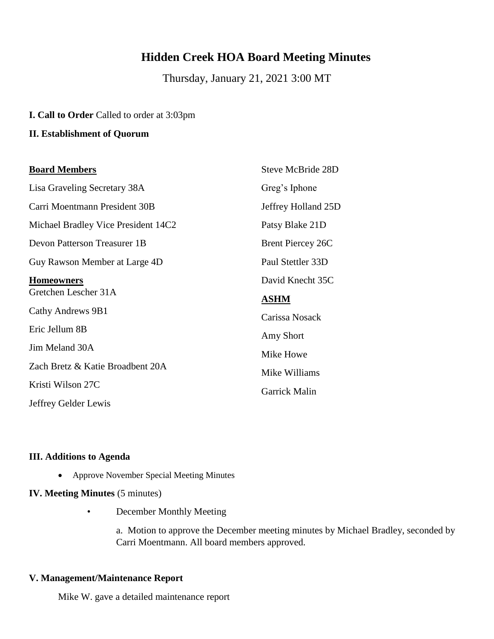# **Hidden Creek HOA Board Meeting Minutes**

Thursday, January 21, 2021 3:00 MT

#### **I. Call to Order** Called to order at 3:03pm

# **II. Establishment of Quorum**

#### **Board Members** Lisa Graveling Secretary 38A Carri Moentmann President 30B Michael Bradley Vice President 14C2 Devon Patterson Treasurer 1B Guy Rawson Member at Large 4D **Homeowners** Gretchen Lescher 31A Cathy Andrews 9B1 Eric Jellum 8B Jim Meland 30A Zach Bretz & Katie Broadbent 20A Kristi Wilson 27C Jeffrey Gelder Lewis Steve McBride 28D Greg's Iphone Jeffrey Holland 25D Patsy Blake 21D Brent Piercey 26C Paul Stettler 33D David Knecht 35C **ASHM** Carissa Nosack Amy Short Mike Howe Mike Williams Garrick Malin

#### **III. Additions to Agenda**

• Approve November Special Meeting Minutes

#### **IV. Meeting Minutes** (5 minutes)

• December Monthly Meeting

a. Motion to approve the December meeting minutes by Michael Bradley, seconded by Carri Moentmann. All board members approved.

#### **V. Management/Maintenance Report**

Mike W. gave a detailed maintenance report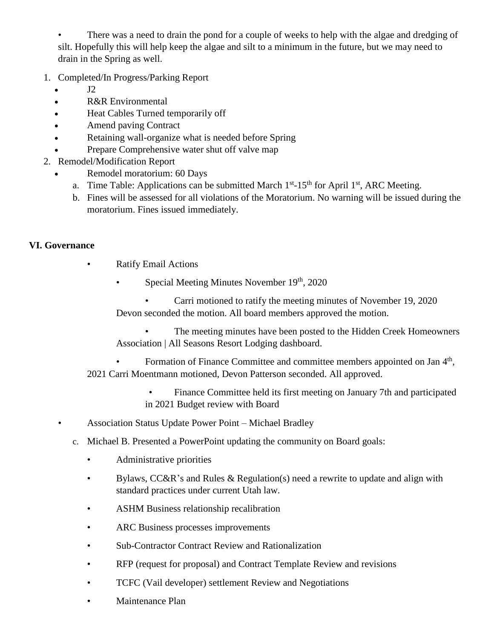There was a need to drain the pond for a couple of weeks to help with the algae and dredging of silt. Hopefully this will help keep the algae and silt to a minimum in the future, but we may need to drain in the Spring as well.

- 1. Completed/In Progress/Parking Report
	- J2
	- R&R Environmental
	- Heat Cables Turned temporarily off
	- Amend paving Contract
	- Retaining wall-organize what is needed before Spring
	- Prepare Comprehensive water shut off valve map
- 2. Remodel/Modification Report
	- Remodel moratorium: 60 Days
		- a. Time Table: Applications can be submitted March  $1<sup>st</sup>$ -15<sup>th</sup> for April  $1<sup>st</sup>$ , ARC Meeting.
		- b. Fines will be assessed for all violations of the Moratorium. No warning will be issued during the moratorium. Fines issued immediately.

# **VI. Governance**

- Ratify Email Actions
	- Special Meeting Minutes November 19th, 2020
	- Carri motioned to ratify the meeting minutes of November 19, 2020 Devon seconded the motion. All board members approved the motion.
	- The meeting minutes have been posted to the Hidden Creek Homeowners Association | All Seasons Resort Lodging dashboard.
- Formation of Finance Committee and committee members appointed on Jan 4<sup>th</sup>, 2021 Carri Moentmann motioned, Devon Patterson seconded. All approved.
	- Finance Committee held its first meeting on January 7th and participated in 2021 Budget review with Board
- Association Status Update Power Point Michael Bradley
	- c. Michael B. Presented a PowerPoint updating the community on Board goals:
		- Administrative priorities
		- Bylaws, CC&R's and Rules & Regulation(s) need a rewrite to update and align with standard practices under current Utah law.
		- ASHM Business relationship recalibration
		- ARC Business processes improvements
		- Sub-Contractor Contract Review and Rationalization
		- RFP (request for proposal) and Contract Template Review and revisions
		- TCFC (Vail developer) settlement Review and Negotiations
		- Maintenance Plan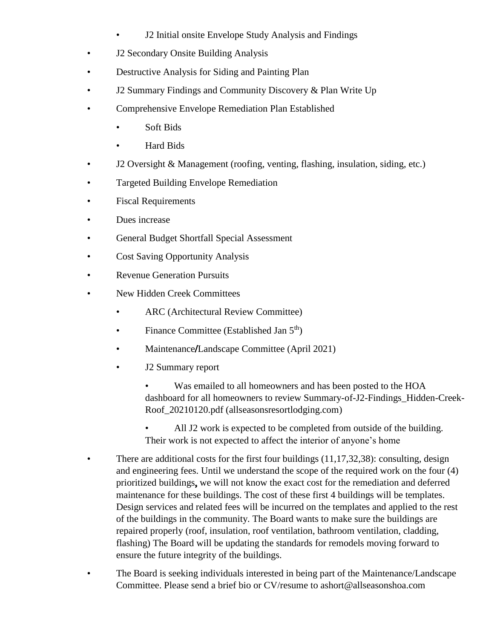- J2 Initial onsite Envelope Study Analysis and Findings
- J2 Secondary Onsite Building Analysis
- Destructive Analysis for Siding and Painting Plan
- J2 Summary Findings and Community Discovery & Plan Write Up
- Comprehensive Envelope Remediation Plan Established
	- Soft Bids
	- Hard Bids
- J2 Oversight & Management (roofing, venting, flashing, insulation, siding, etc.)
- Targeted Building Envelope Remediation
- Fiscal Requirements
- Dues increase
- General Budget Shortfall Special Assessment
- Cost Saving Opportunity Analysis
- Revenue Generation Pursuits
- New Hidden Creek Committees
	- ARC (Architectural Review Committee)
	- Finance Committee (Established Jan  $5<sup>th</sup>$ )
	- Maintenance/Landscape Committee (April 2021)
	- J2 Summary report
		- Was emailed to all homeowners and has been posted to the HOA dashboard for all homeowners to review Summary-of-J2-Findings\_Hidden-Creek-Roof\_20210120.pdf (allseasonsresortlodging.com)
		- All J2 work is expected to be completed from outside of the building. Their work is not expected to affect the interior of anyone's home
- There are additional costs for the first four buildings (11,17,32,38): consulting, design and engineering fees. Until we understand the scope of the required work on the four (4) prioritized buildings we will not know the exact cost for the remediation and deferred maintenance for these buildings. The cost of these first 4 buildings will be templates. Design services and related fees will be incurred on the templates and applied to the rest of the buildings in the community. The Board wants to make sure the buildings are repaired properly (roof, insulation, roof ventilation, bathroom ventilation, cladding, flashing) The Board will be updating the standards for remodels moving forward to ensure the future integrity of the buildings.
- The Board is seeking individuals interested in being part of the Maintenance/Landscape Committee. Please send a brief bio or CV/resume to ashort@allseasonshoa.com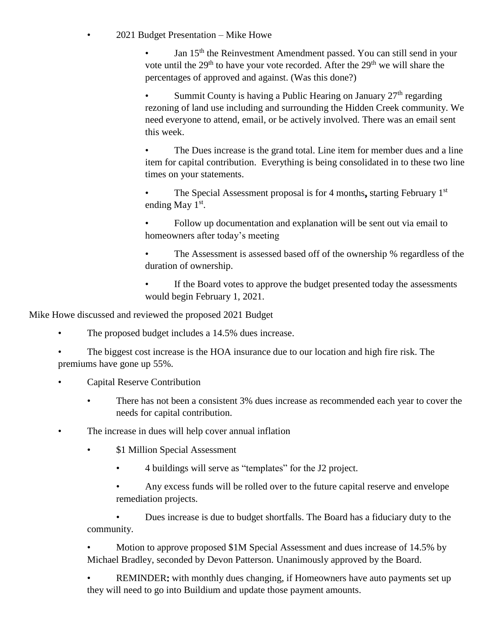• 2021 Budget Presentation – Mike Howe

Jan 15<sup>th</sup> the Reinvestment Amendment passed. You can still send in your vote until the  $29<sup>th</sup>$  to have your vote recorded. After the  $29<sup>th</sup>$  we will share the percentages of approved and against. (Was this done?)

Summit County is having a Public Hearing on January  $27<sup>th</sup>$  regarding rezoning of land use including and surrounding the Hidden Creek community. We need everyone to attend, email, or be actively involved. There was an email sent this week.

The Dues increase is the grand total. Line item for member dues and a line item for capital contribution. Everything is being consolidated in to these two line times on your statements.

• The Special Assessment proposal is for 4 months, starting February  $1<sup>st</sup>$ ending May  $1<sup>st</sup>$ .

• Follow up documentation and explanation will be sent out via email to homeowners after today's meeting

• The Assessment is assessed based off of the ownership % regardless of the duration of ownership.

If the Board votes to approve the budget presented today the assessments would begin February 1, 2021.

Mike Howe discussed and reviewed the proposed 2021 Budget

- The proposed budget includes a 14.5% dues increase.
- The biggest cost increase is the HOA insurance due to our location and high fire risk. The premiums have gone up 55%.
- Capital Reserve Contribution
	- There has not been a consistent 3% dues increase as recommended each year to cover the needs for capital contribution.
- The increase in dues will help cover annual inflation
	- \$1 Million Special Assessment
		- 4 buildings will serve as "templates" for the J2 project.
		- Any excess funds will be rolled over to the future capital reserve and envelope remediation projects.

• Dues increase is due to budget shortfalls. The Board has a fiduciary duty to the community.

• Motion to approve proposed \$1M Special Assessment and dues increase of 14.5% by Michael Bradley, seconded by Devon Patterson. Unanimously approved by the Board.

REMINDER: with monthly dues changing, if Homeowners have auto payments set up they will need to go into Buildium and update those payment amounts.